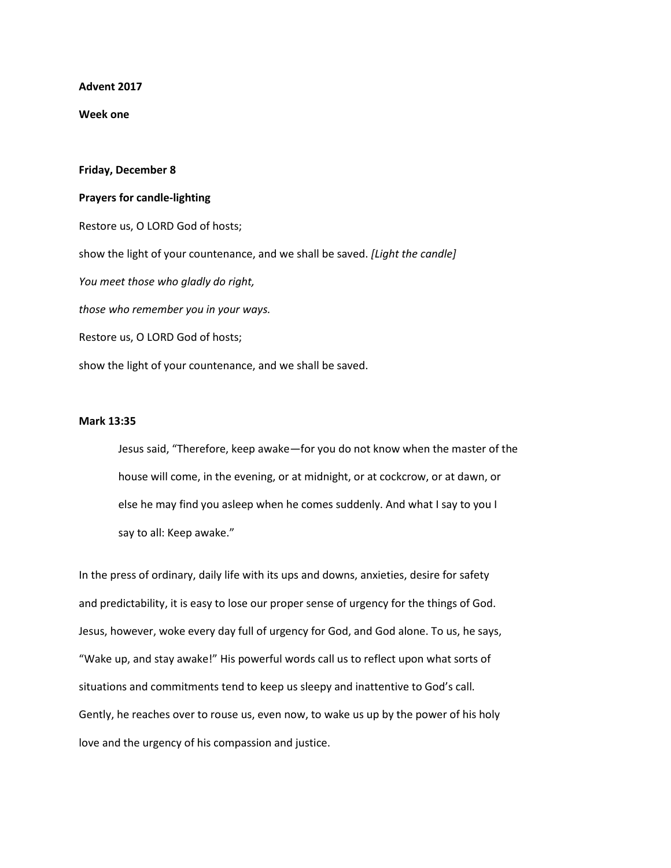**Advent 2017**

**Week one**

## **Friday, December 8**

## **Prayers for candle-lighting**

Restore us, O LORD God of hosts; show the light of your countenance, and we shall be saved. *[Light the candle] You meet those who gladly do right, those who remember you in your ways.* Restore us, O LORD God of hosts; show the light of your countenance, and we shall be saved.

## **Mark 13:35**

Jesus said, "Therefore, keep awake—for you do not know when the master of the house will come, in the evening, or at midnight, or at cockcrow, or at dawn, or else he may find you asleep when he comes suddenly. And what I say to you I say to all: Keep awake."

In the press of ordinary, daily life with its ups and downs, anxieties, desire for safety and predictability, it is easy to lose our proper sense of urgency for the things of God. Jesus, however, woke every day full of urgency for God, and God alone. To us, he says, "Wake up, and stay awake!" His powerful words call us to reflect upon what sorts of situations and commitments tend to keep us sleepy and inattentive to God's call. Gently, he reaches over to rouse us, even now, to wake us up by the power of his holy love and the urgency of his compassion and justice.